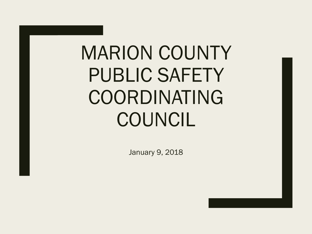## MARION COUNTY PUBLIC SAFETY COORDINATING COUNCIL

January 9, 2018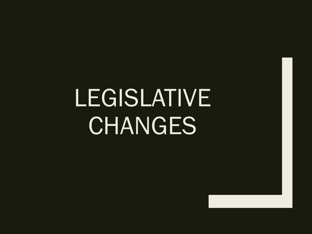# LEGISLATIVE **CHANGES**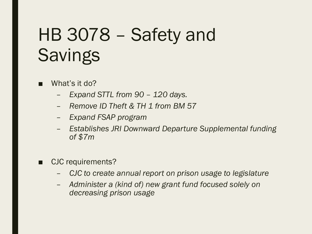## HB 3078 – Safety and **Savings**

- What's it do?
	- *Expand STTL from 90 – 120 days.*
	- *Remove ID Theft & TH 1 from BM 57*
	- *Expand FSAP program*
	- *Establishes JRI Downward Departure Supplemental funding of \$7m*
- CJC requirements?
	- *CJC to create annual report on prison usage to legislature*
	- *Administer a (kind of) new grant fund focused solely on decreasing prison usage*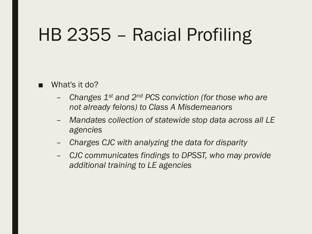### HB 2355 – Racial Profiling

#### What's it do?

- *Changes 1st and 2nd PCS conviction (for those who are not already felons) to Class A Misdemeanors*
- *Mandates collection of statewide stop data across all LE agencies*
- *Charges CJC with analyzing the data for disparity*
- *CJC communicates findings to DPSST, who may provide additional training to LE agencies*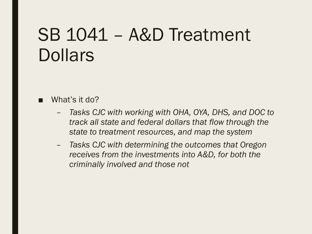### SB 1041 – A&D Treatment **Dollars**

#### What's it do?

- *Tasks CJC with working with OHA, OYA, DHS, and DOC to track all state and federal dollars that flow through the state to treatment resources, and map the system*
- *Tasks CJC with determining the outcomes that Oregon receives from the investments into A&D, for both the criminally involved and those not*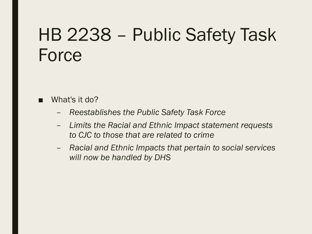### HB 2238 – Public Safety Task Force

- What's it do?
	- *Reestablishes the Public Safety Task Force*
	- *Limits the Racial and Ethnic Impact statement requests to CJC to those that are related to crime*
	- *Racial and Ethnic Impacts that pertain to social services will now be handled by DHS*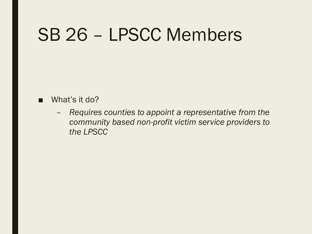### SB 26 – LPSCC Members

#### ■ What's it do?

– *Requires counties to appoint a representative from the community based non-profit victim service providers to the LPSCC*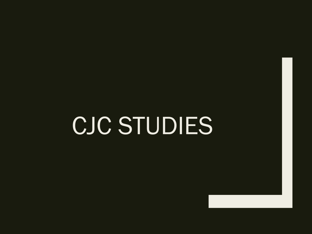## CJC STUDIES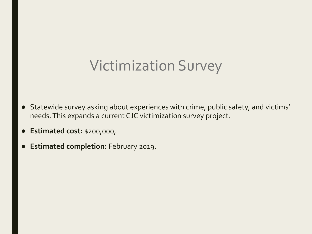#### Victimization Survey

- Statewide survey asking about experiences with crime, public safety, and victims' needs. This expands a current CJC victimization survey project.
- **Estimated cost:** \$200,000,
- **Estimated completion:** February 2019.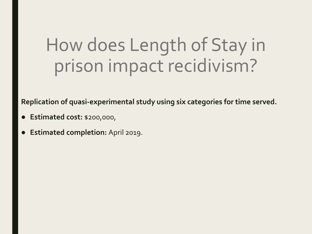## How does Length of Stay in prison impact recidivism?

**Replication of quasi-experimental study using six categories for time served.** 

- **Estimated cost:** \$200,000,
- **Estimated completion:** April 2019.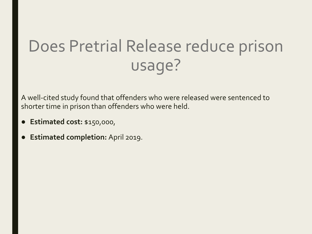#### Does Pretrial Release reduce prison usage?

A well-cited study found that offenders who were released were sentenced to shorter time in prison than offenders who were held.

- **Estimated cost:** \$150,000,
- **Estimated completion:** April 2019.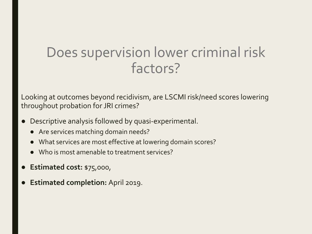#### Does supervision lower criminal risk factors?

Looking at outcomes beyond recidivism, are LSCMI risk/need scores lowering throughout probation for JRI crimes?

- Descriptive analysis followed by quasi-experimental.
	- Are services matching domain needs?
	- What services are most effective at lowering domain scores?
	- Who is most amenable to treatment services?
- **Estimated cost: \$75,000,**
- **Estimated completion:** April 2019.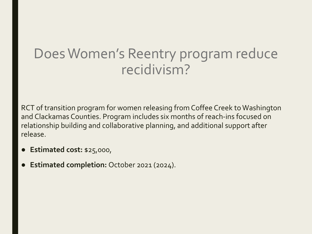#### Does Women's Reentry program reduce recidivism?

RCT of transition program for women releasing from Coffee Creek to Washington and Clackamas Counties. Program includes six months of reach-ins focused on relationship building and collaborative planning, and additional support after release.

- **Estimated cost:** \$25,000,
- **Estimated completion:** October 2021 (2024).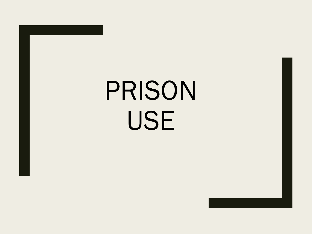# PRISON USE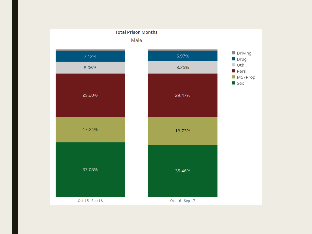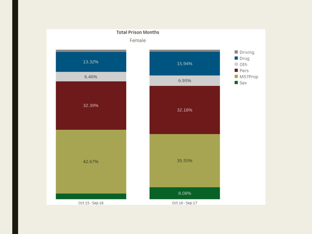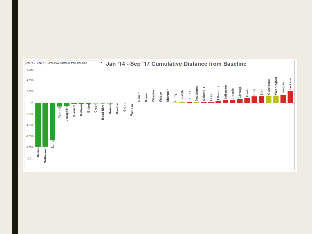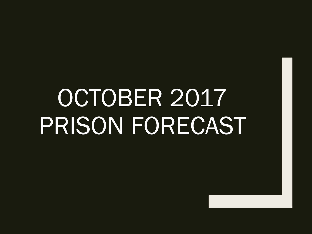# OCTOBER 2017 PRISON FORECAST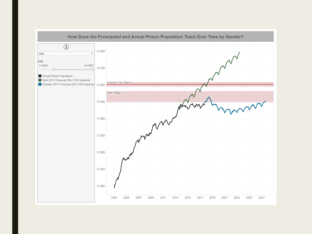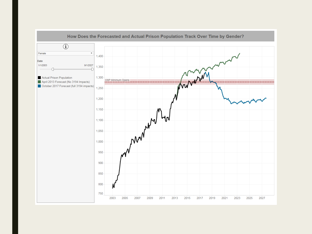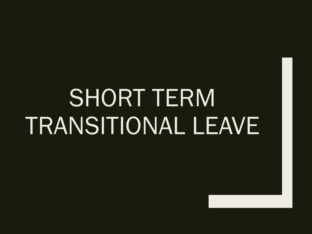# SHORT TERM TRANSITIONAL LEAVE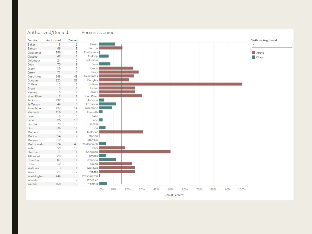#### Authorized/Denied

Percent Denied

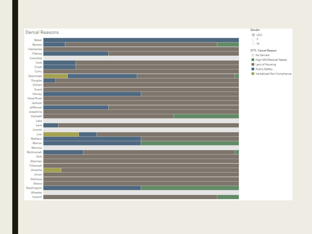